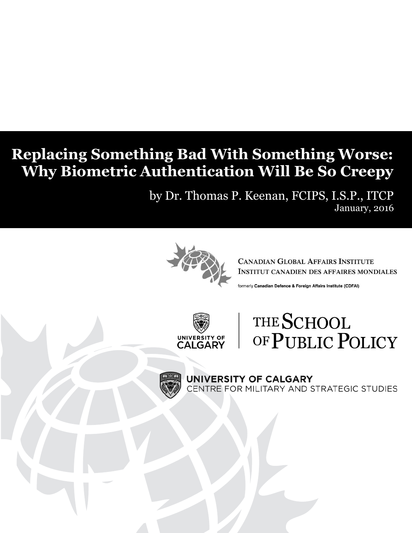## **Replacing Something Bad With Something Worse: Why Biometric Authentication Will Be So Creepy**

by Dr. Thomas P. Keenan, FCIPS, I.S.P., ITCP January, 2016



**CANADIAN GLOBAL AFFAIRS INSTITUTE INSTITUT CANADIEN DES AFFAIRES MONDIALES** 

formerly Canadian Defence & Foreign Affairs Institute (CDFAI)



# THE SCHOOL OF PUBLIC POLICY



UNIVERSITY OF CALGARY CENTRE FOR MILITARY AND STRATEGIC STUDIES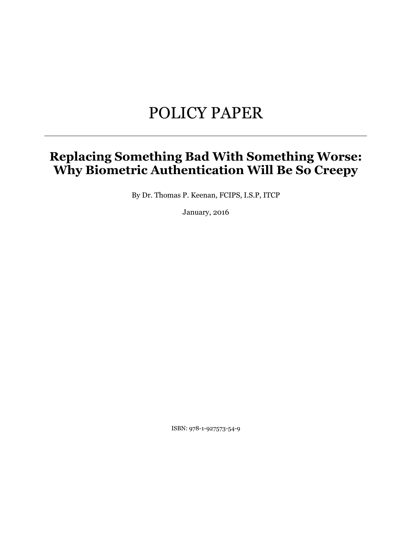## POLICY PAPER

### **Replacing Something Bad With Something Worse: Why Biometric Authentication Will Be So Creepy**

By Dr. Thomas P. Keenan, FCIPS, I.S.P, ITCP

January, 2016

ISBN: 978-1-927573-54-9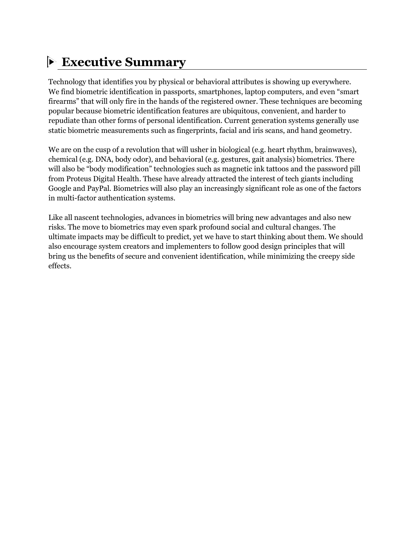### **Executive Summary**

Technology that identifies you by physical or behavioral attributes is showing up everywhere. We find biometric identification in passports, smartphones, laptop computers, and even "smart firearms" that will only fire in the hands of the registered owner. These techniques are becoming popular because biometric identification features are ubiquitous, convenient, and harder to repudiate than other forms of personal identification. Current generation systems generally use static biometric measurements such as fingerprints, facial and iris scans, and hand geometry.

We are on the cusp of a revolution that will usher in biological (e.g. heart rhythm, brainwaves), chemical (e.g. DNA, body odor), and behavioral (e.g. gestures, gait analysis) biometrics. There will also be "body modification" technologies such as magnetic ink tattoos and the password pill from Proteus Digital Health. These have already attracted the interest of tech giants including Google and PayPal. Biometrics will also play an increasingly significant role as one of the factors in multi-factor authentication systems.

Like all nascent technologies, advances in biometrics will bring new advantages and also new risks. The move to biometrics may even spark profound social and cultural changes. The ultimate impacts may be difficult to predict, yet we have to start thinking about them. We should also encourage system creators and implementers to follow good design principles that will bring us the benefits of secure and convenient identification, while minimizing the creepy side effects.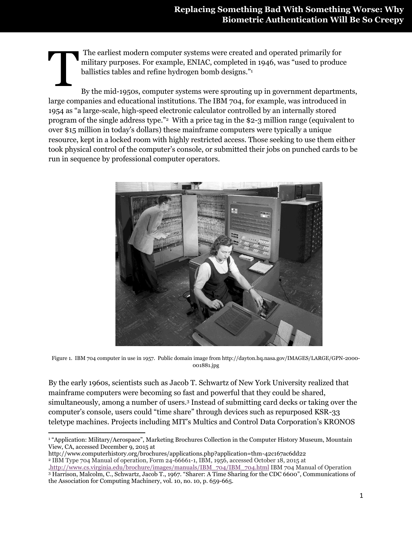The earliest modern computer systems were created and operated primarily for military purposes. For example, ENIAC, completed in 1946, was "used to produce ballistics tables and refine hydrogen bomb designs."<sup>1</sup> **T** 

By the mid-1950s, computer systems were sprouting up in government departments, large companies and educational institutions. The IBM 704, for example, was introduced in 1954 as "a large-scale, high-speed electronic calculator controlled by an internally stored program of the single address type."<sup>2</sup> With a price tag in the \$2-3 million range (equivalent to over \$15 million in today's dollars) these mainframe computers were typically a unique resource, kept in a locked room with highly restricted access. Those seeking to use them either took physical control of the computer's console, or submitted their jobs on punched cards to be run in sequence by professional computer operators.



Figure 1. IBM 704 computer in use in 1957. Public domain image from http://dayton.hq.nasa.gov/IMAGES/LARGE/GPN-2000- 001881.jpg

By the early 1960s, scientists such as Jacob T. Schwartz of New York University realized that mainframe computers were becoming so fast and powerful that they could be shared, simultaneously, among a number of users.<sup>3</sup> Instead of submitting card decks or taking over the computer's console, users could "time share" through devices such as repurposed KSR-33 teletype machines. Projects including MIT's Multics and Control Data Corporation's KRONOS

 $\overline{\phantom{a}}$ <sup>1</sup> "Application: Military/Aerospace", Marketing Brochures Collection in the Computer History Museum, Mountain View, CA, accessed December 9, 2015 at

http://www.computerhistory.org/brochures/applications.php?application=thm-42c167ac6dd22 <sup>2</sup> IBM Type 704 Manual of operation, Form 24-66661-1, IBM, 1956, accessed October 18, 2015 at [,http://www.cs.virginia.edu/brochure/images/manuals/IBM\\_704/IBM\\_704.html](http://www.cs.virginia.edu/brochure/images/manuals/IBM_704/IBM_704.html) IBM 704 Manual of Operation <sup>3</sup> Harrison, Malcolm, C., Schwartz, Jacob T., 1967. "Sharer: A Time Sharing for the CDC 6600", Communications of

the Association for Computing Machinery, vol. 10, no. 10, p. 659-665.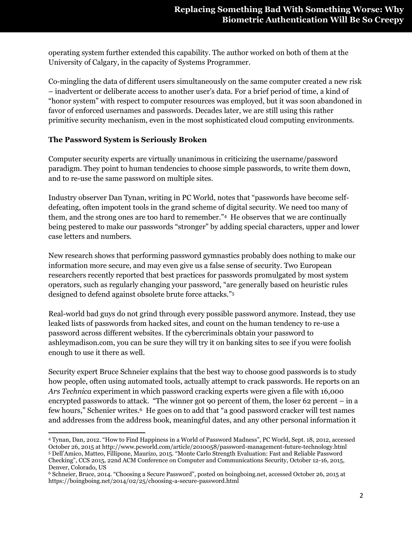operating system further extended this capability. The author worked on both of them at the University of Calgary, in the capacity of Systems Programmer.

Co-mingling the data of different users simultaneously on the same computer created a new risk – inadvertent or deliberate access to another user's data. For a brief period of time, a kind of "honor system" with respect to computer resources was employed, but it was soon abandoned in favor of enforced usernames and passwords. Decades later, we are still using this rather primitive security mechanism, even in the most sophisticated cloud computing environments.

#### **The Password System is Seriously Broken**

Computer security experts are virtually unanimous in criticizing the username/password paradigm. They point to human tendencies to choose simple passwords, to write them down, and to re-use the same password on multiple sites.

Industry observer Dan Tynan, writing in PC World, notes that "passwords have become selfdefeating, often impotent tools in the grand scheme of digital security. We need too many of them, and the strong ones are too hard to remember."<sup>4</sup> He observes that we are continually being pestered to make our passwords "stronger" by adding special characters, upper and lower case letters and numbers.

New research shows that performing password gymnastics probably does nothing to make our information more secure, and may even give us a false sense of security. Two European researchers recently reported that best practices for passwords promulgated by most system operators, such as regularly changing your password, "are generally based on heuristic rules designed to defend against obsolete brute force attacks."<sup>5</sup>

Real-world bad guys do not grind through every possible password anymore. Instead, they use leaked lists of passwords from hacked sites, and count on the human tendency to re-use a password across different websites. If the cybercriminals obtain your password to ashleymadison.com, you can be sure they will try it on banking sites to see if you were foolish enough to use it there as well.

Security expert Bruce Schneier explains that the best way to choose good passwords is to study how people, often using automated tools, actually attempt to crack passwords. He reports on an *Ars Technica* experiment in which password cracking experts were given a file with 16,000 encrypted passwords to attack. "The winner got 90 percent of them, the loser 62 percent – in a few hours," Schenier writes. 6 He goes on to add that "a good password cracker will test names and addresses from the address book, meaningful dates, and any other personal information it

 $\overline{\phantom{a}}$ <sup>4</sup> Tynan, Dan, 2012. "How to Find Happiness in a World of Password Madness", PC World, Sept. 18, 2012, accessed October 26, 2015 at http://www.pcworld.com/article/2010058/password-management-future-technology.html <sup>5</sup> Dell'Amico, Matteo, Fillipone, Maurizo, 2015. "Monte Carlo Strength Evaluation: Fast and Reliable Password Checking", CCS 2015, 22nd ACM Conference on Computer and Communications Security, October 12-16, 2015, Denver, Colorado, US

<sup>6</sup> Schneier, Bruce, 2014. "Choosing a Secure Password", posted on boingboing.net, accessed October 26, 2015 at https://boingboing.net/2014/02/25/choosing-a-secure-password.html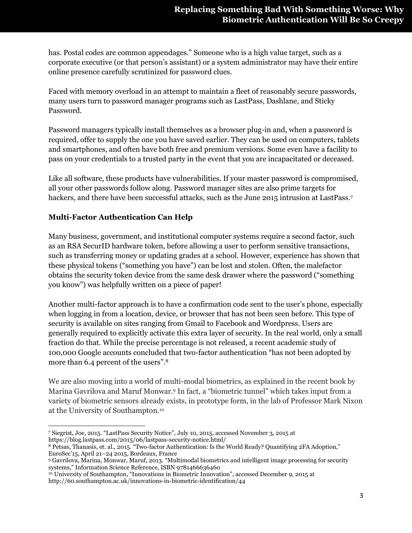has. Postal codes are common appendages." Someone who is a high value target, such as a corporate executive (or that person's assistant) or a system administrator may have their entire online presence carefully scrutinized for password clues.

Faced with memory overload in an attempt to maintain a fleet of reasonably secure passwords, many users turn to password manager programs such as LastPass, Dashlane, and Sticky Password.

Password managers typically install themselves as a browser plug-in and, when a password is required, offer to supply the one you have saved earlier. They can be used on computers, tablets and smartphones, and often have both free and premium versions. Some even have a facility to pass on your credentials to a trusted party in the event that you are incapacitated or deceased.

Like all software, these products have vulnerabilities. If your master password is compromised, all your other passwords follow along. Password manager sites are also prime targets for hackers, and there have been successful attacks, such as the June 2015 intrusion at LastPass.<sup>7</sup>

#### **Multi-Factor Authentication Can Help**

Many business, government, and institutional computer systems require a second factor, such as an RSA SecurID hardware token, before allowing a user to perform sensitive transactions, such as transferring money or updating grades at a school. However, experience has shown that these physical tokens ("something you have") can be lost and stolen. Often, the malefactor obtains the security token device from the same desk drawer where the password ("something you know") was helpfully written on a piece of paper!

Another multi-factor approach is to have a confirmation code sent to the user's phone, especially when logging in from a location, device, or browser that has not been seen before. This type of security is available on sites ranging from Gmail to Facebook and Wordpress. Users are generally required to explicitly activate this extra layer of security. In the real world, only a small fraction do that. While the precise percentage is not released, a recent academic study of 100,000 Google accounts concluded that two-factor authentication "has not been adopted by more than 6.4 percent of the users".<sup>8</sup>

We are also moving into a world of multi-modal biometrics, as explained in the recent book by Marina Gavrilova and Maruf Monwar.<sup>9</sup> In fact, a "biometric tunnel" which takes input from a variety of biometric sensors already exists, in prototype form, in the lab of Professor Mark Nixon at the University of Southampton.<sup>10</sup>

 $\overline{a}$ <sup>7</sup> Siegrist, Joe, 2015. "LastPass Security Notice", July 10, 2015, accessed November 3, 2015 at https://blog.lastpass.com/2015/06/lastpass-security-notice.html/

<sup>8</sup> Petsas, Thanasis, et. al., 2015. "Two-factor Authentication: Is the World Ready? Quantifying 2FA Adoption," EuroSec'15, April 21–24 2015, Bordeaux, France

<sup>9</sup> Gavrilova, Marina, Monwar, Maruf, 2013. "Multimodal biometrics and intelligent image processing for security systems," Information Science Reference, ISBN 9781466636460

<sup>10</sup> University of Southampton, "Innovations in Biometric Innovation", accessed December 9, 2015 at http://60.southampton.ac.uk/innovations-in-biometric-identification/44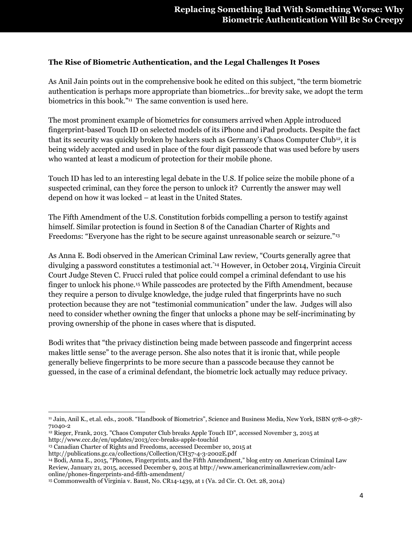#### **The Rise of Biometric Authentication, and the Legal Challenges It Poses**

As Anil Jain points out in the comprehensive book he edited on this subject, "the term biometric authentication is perhaps more appropriate than biometrics…for brevity sake, we adopt the term biometrics in this book."<sup>11</sup> The same convention is used here.

The most prominent example of biometrics for consumers arrived when Apple introduced fingerprint-based Touch ID on selected models of its iPhone and iPad products. Despite the fact that its security was quickly broken by hackers such as Germany's Chaos Computer Club<sup>12</sup>, it is being widely accepted and used in place of the four digit passcode that was used before by users who wanted at least a modicum of protection for their mobile phone.

Touch ID has led to an interesting legal debate in the U.S. If police seize the mobile phone of a suspected criminal, can they force the person to unlock it? Currently the answer may well depend on how it was locked – at least in the United States.

The Fifth Amendment of the U.S. Constitution forbids compelling a person to testify against himself. Similar protection is found in Section 8 of the Canadian Charter of Rights and Freedoms: "Everyone has the right to be secure against unreasonable search or seizure."<sup>13</sup>

As Anna E. Bodi observed in the American Criminal Law review, "Courts generally agree that divulging a password constitutes a testimonial act."<sup>14</sup> However, in October 2014, Virginia Circuit Court Judge Steven C. Frucci ruled that police could compel a criminal defendant to use his finger to unlock his phone.<sup>15</sup> While passcodes are protected by the Fifth Amendment, because they require a person to divulge knowledge, the judge ruled that fingerprints have no such protection because they are not "testimonial communication" under the law. Judges will also need to consider whether owning the finger that unlocks a phone may be self-incriminating by proving ownership of the phone in cases where that is disputed.

Bodi writes that "the privacy distinction being made between passcode and fingerprint access makes little sense" to the average person. She also notes that it is ironic that, while people generally believe fingerprints to be more secure than a passcode because they cannot be guessed, in the case of a criminal defendant, the biometric lock actually may reduce privacy.

 $\overline{\phantom{a}}$ 

<sup>11</sup> Jain, Anil K., et.al. eds., 2008. "Handbook of Biometrics", Science and Business Media, New York, ISBN 978-0-387- 71040-2

<sup>12</sup> Rieger, Frank, 2013. "Chaos Computer Club breaks Apple Touch ID", accessed November 3, 2015 at http://www.ccc.de/en/updates/2013/ccc-breaks-apple-touchid

<sup>&</sup>lt;sup>13</sup> Canadian Charter of Rights and Freedoms, accessed December 10, 2015 at

http://publications.gc.ca/collections/Collection/CH37-4-3-2002E.pdf

<sup>14</sup> Bodi, Anna E., 2015, "Phones, Fingerprints, and the Fifth Amendment," blog entry on American Criminal Law Review, January 21, 2015, accessed December 9, 2015 at http://www.americancriminallawreview.com/aclronline/phones-fingerprints-and-fifth-amendment/

<sup>15</sup> Commonwealth of Virginia v. Baust, No. CR14-1439, at 1 (Va. 2d Cir. Ct. Oct. 28, 2014)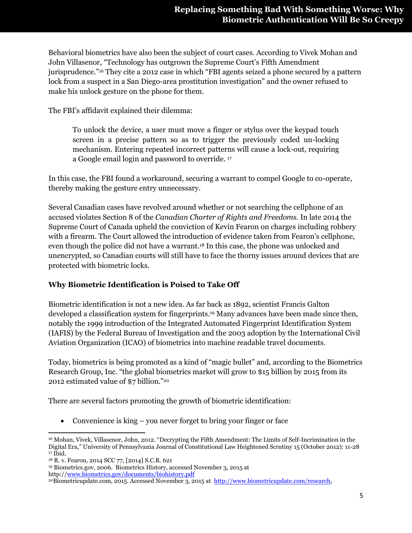Behavioral biometrics have also been the subject of court cases. According to Vivek Mohan and John Villasenor, "Technology has outgrown the Supreme Court's Fifth Amendment jurisprudence."<sup>16</sup> They cite a 2012 case in which "FBI agents seized a phone secured by a pattern lock from a suspect in a San Diego-area prostitution investigation" and the owner refused to make his unlock gesture on the phone for them.

The FBI's affidavit explained their dilemma:

To unlock the device, a user must move a finger or stylus over the keypad touch screen in a precise pattern so as to trigger the previously coded un-locking mechanism. Entering repeated incorrect patterns will cause a lock-out, requiring a Google email login and password to override. <sup>17</sup>

In this case, the FBI found a workaround, securing a warrant to compel Google to co-operate, thereby making the gesture entry unnecessary.

Several Canadian cases have revolved around whether or not searching the cellphone of an accused violates Section 8 of the *Canadian Charter of Rights and Freedoms.* In late 2014 the Supreme Court of Canada upheld the conviction of Kevin Fearon on charges including robbery with a firearm. The Court allowed the introduction of evidence taken from Fearon's cellphone, even though the police did not have a warrant.<sup>18</sup> In this case, the phone was unlocked and unencrypted, so Canadian courts will still have to face the thorny issues around devices that are protected with biometric locks.

#### **Why Biometric Identification is Poised to Take Off**

Biometric identification is not a new idea. As far back as 1892, scientist Francis Galton developed a classification system for fingerprints.<sup>19</sup> Many advances have been made since then, notably the 1999 introduction of the Integrated Automated Fingerprint Identification System (IAFIS) by the Federal Bureau of Investigation and the 2003 adoption by the International Civil Aviation Organization (ICAO) of biometrics into machine readable travel documents.

Today, biometrics is being promoted as a kind of "magic bullet" and, according to the Biometrics Research Group, Inc. "the global biometrics market will grow to \$15 billion by 2015 from its 2012 estimated value of \$7 billion."<sup>20</sup>

There are several factors promoting the growth of biometric identification:

• Convenience is king – you never forget to bring your finger or face

 $\overline{\phantom{a}}$ <sup>16</sup> Mohan, Vivek, Villasenor, John, 2012. "Decrypting the Fifth Amendment: The Limits of Self-Incrimination in the Digital Era," University of Pennsylvania Journal of Constitutional Law Heightened Scrutiny 15 (October 2012): 11-28  $17$  Ibid.

<sup>18</sup> R. v. Fearon, 2014 SCC 77, [2014] S.C.R. 621

<sup>19</sup> Biometrics.gov, 2006. Biometrics History, accessed November 3, 2015 at http:/[/www.biometrics.gov/documents/biohistory.pdf](http://www.biometrics.gov/documents/biohistory.pdf)

<sup>20</sup>Biometricupdate.com, 2015. Accessed November 3, 2015 at [http://www.biometricupdate.com/research,](http://www.biometricupdate.com/research)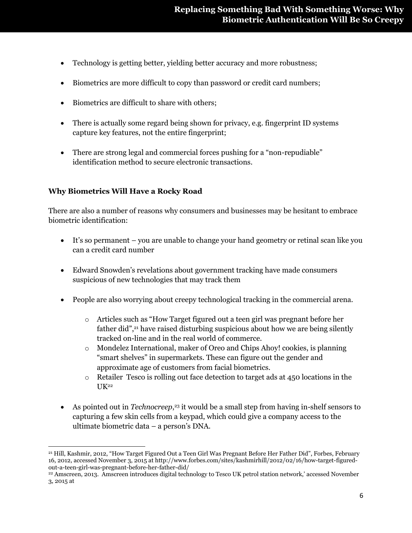- Technology is getting better, yielding better accuracy and more robustness;
- Biometrics are more difficult to copy than password or credit card numbers;
- Biometrics are difficult to share with others;
- There is actually some regard being shown for privacy, e.g. fingerprint ID systems capture key features, not the entire fingerprint;
- There are strong legal and commercial forces pushing for a "non-repudiable" identification method to secure electronic transactions.

#### **Why Biometrics Will Have a Rocky Road**

There are also a number of reasons why consumers and businesses may be hesitant to embrace biometric identification:

- It's so permanent you are unable to change your hand geometry or retinal scan like you can a credit card number
- Edward Snowden's revelations about government tracking have made consumers suspicious of new technologies that may track them
- People are also worrying about creepy technological tracking in the commercial arena.
	- o Articles such as "How Target figured out a teen girl was pregnant before her father did",<sup>21</sup> have raised disturbing suspicious about how we are being silently tracked on-line and in the real world of commerce.
	- o Mondelez International, maker of Oreo and Chips Ahoy! cookies, is planning "smart shelves" in supermarkets. These can figure out the gender and approximate age of customers from facial biometrics.
	- o Retailer Tesco is rolling out face detection to target ads at 450 locations in the  $UK<sup>22</sup>$
- As pointed out in *Technocreep*,<sup>23</sup> it would be a small step from having in-shelf sensors to capturing a few skin cells from a keypad, which could give a company access to the ultimate biometric data – a person's DNA.

 $\overline{\phantom{a}}$ <sup>21</sup> Hill, Kashmir, 2012, "How Target Figured Out a Teen Girl Was Pregnant Before Her Father Did", Forbes, February 16, 2012, accessed November 3, 2015 at http://www.forbes.com/sites/kashmirhill/2012/02/16/how-target-figuredout-a-teen-girl-was-pregnant-before-her-father-did/

<sup>22</sup> Amscreen, 2013. Amscreen introduces digital technology to Tesco UK petrol station network,' accessed November 3, 2015 at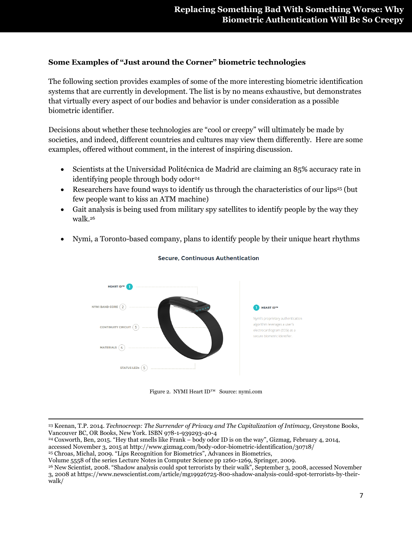#### **Some Examples of "Just around the Corner" biometric technologies**

The following section provides examples of some of the more interesting biometric identification systems that are currently in development. The list is by no means exhaustive, but demonstrates that virtually every aspect of our bodies and behavior is under consideration as a possible biometric identifier.

Decisions about whether these technologies are "cool or creepy" will ultimately be made by societies, and indeed, different countries and cultures may view them differently. Here are some examples, offered without comment, in the interest of inspiring discussion.

- Scientists at the Universidad Politécnica de Madrid are claiming an 85% accuracy rate in identifying people through body odor<sup>24</sup>
- Researchers have found ways to identify us through the characteristics of our lips<sup>25</sup> (but few people want to kiss an ATM machine)
- Gait analysis is being used from military spy satellites to identify people by the way they walk.<sup>26</sup>
- Nymi, a Toronto-based company, plans to identify people by their unique heart rhythms



#### **Secure, Continuous Authentication**

Figure 2. NYMI Heart ID™ Source: nymi.com

 $\overline{\phantom{a}}$ <sup>23</sup> Keenan, T.P. 2014. *Technocreep: The Surrender of Privacy and The Capitalization of Intimacy*, Greystone Books, Vancouver BC, OR Books, New York. ISBN 978-1-939293-40-4

<sup>24</sup> Coxworth, Ben, 2015. "Hey that smells like Frank – body odor ID is on the way", Gizmag, February 4, 2014, accessed November 3, 2015 at http://www.gizmag.com/body-odor-biometric-identification/30718/

<sup>25</sup> Chroas, Michal, 2009. "Lips Recognition for Biometrics", Advances in Biometrics,

Volume 5558 of the series Lecture Notes in Computer Science pp 1260-1269, Springer, 2009.

<sup>26</sup> New Scientist, 2008. "Shadow analysis could spot terrorists by their walk", September 3, 2008, accessed November 3, 2008 at https://www.newscientist.com/article/mg19926725-800-shadow-analysis-could-spot-terrorists-by-theirwalk/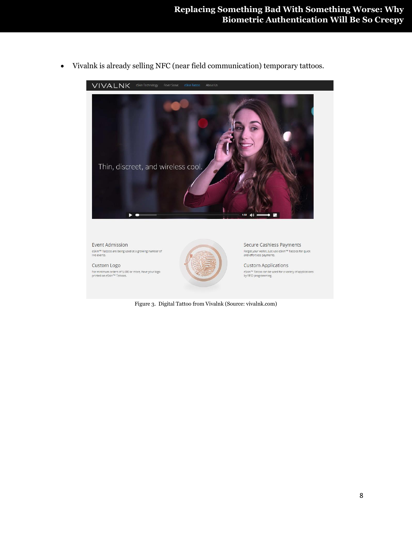

Vivalnk is already selling NFC (near field communication) temporary tattoos.

Figure 3. Digital Tattoo from Vivalnk (Source: vivalnk.com)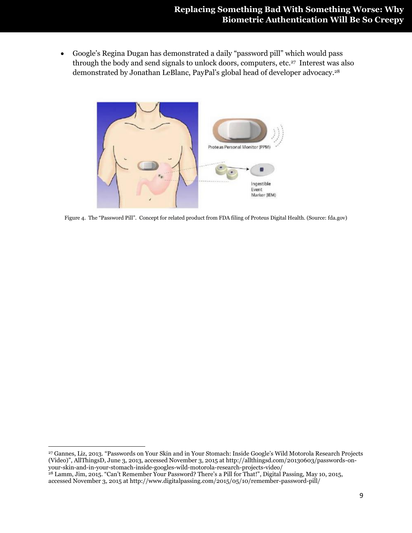Google's Regina Dugan has demonstrated a daily "password pill" which would pass through the body and send signals to unlock doors, computers, etc.<sup>27</sup> Interest was also demonstrated by Jonathan LeBlanc, PayPal's global head of developer advocacy.<sup>28</sup>



Figure 4. The "Password Pill". Concept for related product from FDA filing of Proteus Digital Health. (Source: fda.gov)

 $\overline{\phantom{a}}$ 

<sup>27</sup> Gannes, Liz, 2013. "Passwords on Your Skin and in Your Stomach: Inside Google's Wild Motorola Research Projects (Video)", AllThingsD, June 3, 2013, accessed November 3, 2015 at http://allthingsd.com/20130603/passwords-onyour-skin-and-in-your-stomach-inside-googles-wild-motorola-research-projects-video/

<sup>&</sup>lt;sup>28</sup> Lamm, Jim, 2015. "Can't Remember Your Password? There's a Pill for That!", Digital Passing, May 10, 2015, accessed November 3, 2015 at http://www.digitalpassing.com/2015/05/10/remember-password-pill/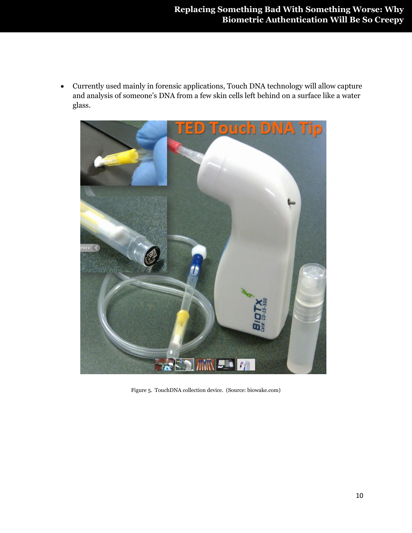Currently used mainly in forensic applications, Touch DNA technology will allow capture and analysis of someone's DNA from a few skin cells left behind on a surface like a water glass.



Figure 5. TouchDNA collection device. (Source: biowake.com)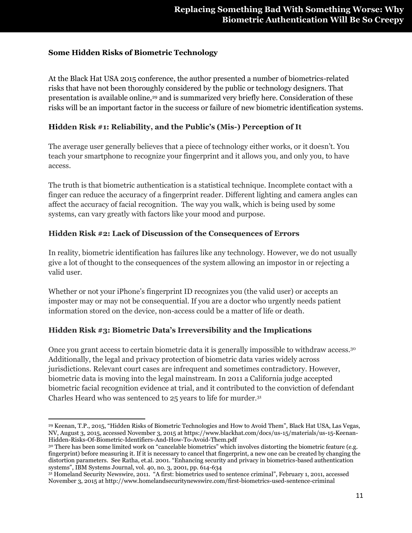#### **Some Hidden Risks of Biometric Technology**

At the Black Hat USA 2015 conference, the author presented a number of biometrics-related risks that have not been thoroughly considered by the public or technology designers. That presentation is available online,<sup>29</sup> and is summarized very briefly here. Consideration of these risks will be an important factor in the success or failure of new biometric identification systems.

#### **Hidden Risk #1: Reliability, and the Public's (Mis-) Perception of It**

The average user generally believes that a piece of technology either works, or it doesn't. You teach your smartphone to recognize your fingerprint and it allows you, and only you, to have access.

The truth is that biometric authentication is a statistical technique. Incomplete contact with a finger can reduce the accuracy of a fingerprint reader. Different lighting and camera angles can affect the accuracy of facial recognition. The way you walk, which is being used by some systems, can vary greatly with factors like your mood and purpose.

#### **Hidden Risk #2: Lack of Discussion of the Consequences of Errors**

In reality, biometric identification has failures like any technology. However, we do not usually give a lot of thought to the consequences of the system allowing an impostor in or rejecting a valid user.

Whether or not your iPhone's fingerprint ID recognizes you (the valid user) or accepts an imposter may or may not be consequential. If you are a doctor who urgently needs patient information stored on the device, non-access could be a matter of life or death.

#### **Hidden Risk #3: Biometric Data's Irreversibility and the Implications**

Once you grant access to certain biometric data it is generally impossible to withdraw access.<sup>30</sup> Additionally, the legal and privacy protection of biometric data varies widely across jurisdictions. Relevant court cases are infrequent and sometimes contradictory. However, biometric data is moving into the legal mainstream. In 2011 a California judge accepted biometric facial recognition evidence at trial, and it contributed to the conviction of defendant Charles Heard who was sentenced to 25 years to life for murder.<sup>31</sup>

 $\overline{\phantom{a}}$ <sup>29</sup> Keenan, T.P., 2015, "Hidden Risks of Biometric Technologies and How to Avoid Them", Black Hat USA, Las Vegas, NV, August 3, 2015, accessed November 3, 2015 at https://www.blackhat.com/docs/us-15/materials/us-15-Keenan-Hidden-Risks-Of-Biometric-Identifiers-And-How-To-Avoid-Them.pdf

<sup>&</sup>lt;sup>30</sup> There has been some limited work on "cancelable biometrics" which involves distorting the biometric feature (e.g. fingerprint) before measuring it. If it is necessary to cancel that fingerprint, a new one can be created by changing the distortion parameters. See Ratha, et.al. 2001. "Enhancing security and privacy in biometrics-based authentication systems", IBM Systems Journal, vol. 40, no. 3, 2001, pp. 614-634

<sup>31</sup> Homeland Security Newswire, 2011. "A first: biometrics used to sentence criminal", February 1, 2011, accessed November 3, 2015 at http://www.homelandsecuritynewswire.com/first-biometrics-used-sentence-criminal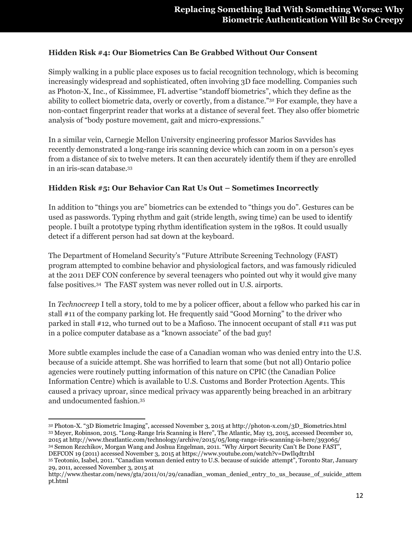#### **Hidden Risk #4: Our Biometrics Can Be Grabbed Without Our Consent**

Simply walking in a public place exposes us to facial recognition technology, which is becoming increasingly widespread and sophisticated, often involving 3D face modelling. Companies such as Photon-X, Inc., of Kissimmee, FL advertise "standoff biometrics", which they define as the ability to collect biometric data, overly or covertly, from a distance."<sup>32</sup> For example, they have a non-contact fingerprint reader that works at a distance of several feet. They also offer biometric analysis of "body posture movement, gait and micro-expressions."

In a similar vein, Carnegie Mellon University engineering professor Marios Savvides has recently demonstrated a long-range iris scanning device which can zoom in on a person's eyes from a distance of six to twelve meters. It can then accurately identify them if they are enrolled in an iris-scan database.<sup>33</sup>

#### **Hidden Risk #5: Our Behavior Can Rat Us Out – Sometimes Incorrectly**

In addition to "things you are" biometrics can be extended to "things you do". Gestures can be used as passwords. Typing rhythm and gait (stride length, swing time) can be used to identify people. I built a prototype typing rhythm identification system in the 1980s. It could usually detect if a different person had sat down at the keyboard.

The Department of Homeland Security's "Future Attribute Screening Technology (FAST) program attempted to combine behavior and physiological factors, and was famously ridiculed at the 2011 DEF CON conference by several teenagers who pointed out why it would give many false positives.<sup>34</sup> The FAST system was never rolled out in U.S. airports.

In *Technocreep* I tell a story, told to me by a policer officer, about a fellow who parked his car in stall #11 of the company parking lot. He frequently said "Good Morning" to the driver who parked in stall #12, who turned out to be a Mafioso. The innocent occupant of stall #11 was put in a police computer database as a "known associate" of the bad guy!

More subtle examples include the case of a Canadian woman who was denied entry into the U.S. because of a suicide attempt. She was horrified to learn that some (but not all) Ontario police agencies were routinely putting information of this nature on CPIC (the Canadian Police Information Centre) which is available to U.S. Customs and Border Protection Agents. This caused a privacy uproar, since medical privacy was apparently being breached in an arbitrary and undocumented fashion.<sup>35</sup>

 $\overline{\phantom{a}}$ <sup>32</sup> Photon-X. "3D Biometric Imaging", accessed November 3, 2015 at http://photon-x.com/3D\_Biometrics.html <sup>33</sup> Meyer, Robinson, 2015. "Long-Range Iris Scanning is Here", The Atlantic, May 13, 2015, accessed December 10, 2015 at http://www.theatlantic.com/technology/archive/2015/05/long-range-iris-scanning-is-here/393065/ <sup>34</sup> Semon Rezchikov, Morgan Wang and Joshua Engelman, 2011. "Why Airport Security Can't Be Done FAST", DEFCON 19 (2011) accessed November 3, 2015 at https://www.youtube.com/watch?v=DwIlqdtr1bI

<sup>35</sup> Teotonio, Isabel, 2011. "Canadian woman denied entry to U.S. because of suicide attempt", Toronto Star, January 29, 2011, accessed November 3, 2015 at

http://www.thestar.com/news/gta/2011/01/29/canadian\_woman\_denied\_entry\_to\_us\_because\_of\_suicide\_attem pt.html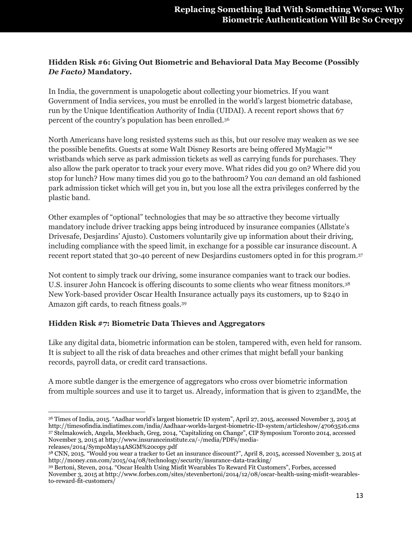#### **Hidden Risk #6: Giving Out Biometric and Behavioral Data May Become (Possibly**  *De Facto)* **Mandatory.**

In India, the government is unapologetic about collecting your biometrics. If you want Government of India services, you must be enrolled in the world's largest biometric database, run by the Unique Identification Authority of India (UIDAI). A recent report shows that 67 percent of the country's population has been enrolled.<sup>36</sup>

North Americans have long resisted systems such as this, but our resolve may weaken as we see the possible benefits. Guests at some Walt Disney Resorts are being offered MyMagic™ wristbands which serve as park admission tickets as well as carrying funds for purchases. They also allow the park operator to track your every move. What rides did you go on? Where did you stop for lunch? How many times did you go to the bathroom? You *can* demand an old fashioned park admission ticket which will get you in, but you lose all the extra privileges conferred by the plastic band.

Other examples of "optional" technologies that may be so attractive they become virtually mandatory include driver tracking apps being introduced by insurance companies (Allstate's Drivesafe, Desjardins' Ajusto). Customers voluntarily give up information about their driving, including compliance with the speed limit, in exchange for a possible car insurance discount. A recent report stated that 30-40 percent of new Desjardins customers opted in for this program. 37

Not content to simply track our driving, some insurance companies want to track our bodies. U.S. insurer John Hancock is offering discounts to some clients who wear fitness monitors.<sup>38</sup> New York-based provider Oscar Health Insurance actually pays its customers, up to \$240 in Amazon gift cards, to reach fitness goals.<sup>39</sup>

#### **Hidden Risk #7: Biometric Data Thieves and Aggregators**

Like any digital data, biometric information can be stolen, tampered with, even held for ransom. It is subject to all the risk of data breaches and other crimes that might befall your banking records, payroll data, or credit card transactions.

A more subtle danger is the emergence of aggregators who cross over biometric information from multiple sources and use it to target us. Already, information that is given to 23andMe, the

releases/2014/SympoMay14ASGM%20copy.pdf

 $\overline{\phantom{a}}$ <sup>36</sup> Times of India, 2015. "Aadhar world's largest biometric ID system", April 27, 2015, accessed November 3, 2015 at http://timesofindia.indiatimes.com/india/Aadhaar-worlds-largest-biometric-ID-system/articleshow/47063516.cms <sup>37</sup> Stelmakowich, Angela, Meekbach, Greg, 2014, "Capitalizing on Change", CIP Symposium Toronto 2014, accessed November 3, 2015 at http://www.insuranceinstitute.ca/-/media/PDFs/media-

<sup>38</sup> CNN, 2015. "Would you wear a tracker to Get an insurance discount?", April 8, 2015, accessed November 3, 2015 at http://money.cnn.com/2015/04/08/technology/security/insurance-data-tracking/

<sup>39</sup> Bertoni, Steven, 2014. "Oscar Health Using Misfit Wearables To Reward Fit Customers", Forbes, accessed November 3, 2015 at http://www.forbes.com/sites/stevenbertoni/2014/12/08/oscar-health-using-misfit-wearablesto-reward-fit-customers/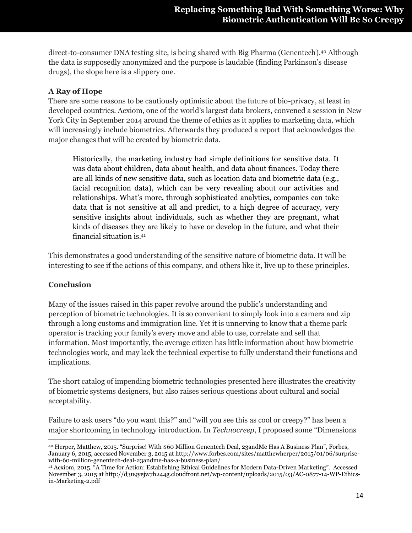direct-to-consumer DNA testing site, is being shared with Big Pharma (Genentech).<sup>40</sup> Although the data is supposedly anonymized and the purpose is laudable (finding Parkinson's disease drugs), the slope here is a slippery one.

#### **A Ray of Hope**

There are some reasons to be cautiously optimistic about the future of bio-privacy, at least in developed countries. Acxiom, one of the world's largest data brokers, convened a session in New York City in September 2014 around the theme of ethics as it applies to marketing data, which will increasingly include biometrics. Afterwards they produced a report that acknowledges the major changes that will be created by biometric data.

Historically, the marketing industry had simple definitions for sensitive data. It was data about children, data about health, and data about finances. Today there are all kinds of new sensitive data, such as location data and biometric data (e.g., facial recognition data), which can be very revealing about our activities and relationships. What's more, through sophisticated analytics, companies can take data that is not sensitive at all and predict, to a high degree of accuracy, very sensitive insights about individuals, such as whether they are pregnant, what kinds of diseases they are likely to have or develop in the future, and what their financial situation is.<sup>41</sup>

This demonstrates a good understanding of the sensitive nature of biometric data. It will be interesting to see if the actions of this company, and others like it, live up to these principles.

#### **Conclusion**

Many of the issues raised in this paper revolve around the public's understanding and perception of biometric technologies. It is so convenient to simply look into a camera and zip through a long customs and immigration line. Yet it is unnerving to know that a theme park operator is tracking your family's every move and able to use, correlate and sell that information. Most importantly, the average citizen has little information about how biometric technologies work, and may lack the technical expertise to fully understand their functions and implications.

The short catalog of impending biometric technologies presented here illustrates the creativity of biometric systems designers, but also raises serious questions about cultural and social acceptability.

Failure to ask users "do you want this?" and "will you see this as cool or creepy?" has been a major shortcoming in technology introduction. In *Technocreep*, I proposed some "Dimensions

 $\overline{\phantom{a}}$ <sup>40</sup> Herper, Matthew, 2015. "Surprise! With \$60 Million Genentech Deal, 23andMe Has A Business Plan", Forbes, January 6, 2015, accessed November 3, 2015 at http://www.forbes.com/sites/matthewherper/2015/01/06/surprisewith-60-million-genentech-deal-23andme-has-a-business-plan/

<sup>41</sup> Acxiom, 2015. "A Time for Action: Establishing Ethical Guidelines for Modern Data-Driven Marketing". Accessed November 3, 2015 at http://d3u9yejw7h244g.cloudfront.net/wp-content/uploads/2015/03/AC-0877-14-WP-Ethicsin-Marketing-2.pdf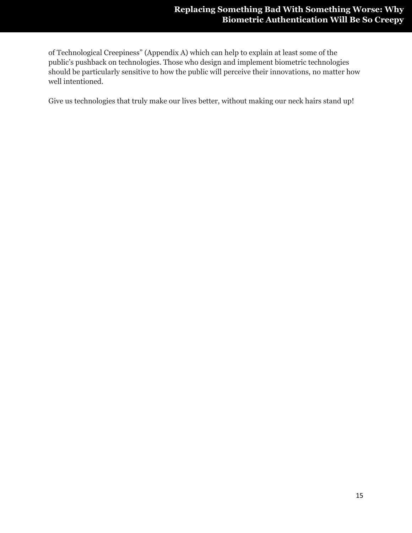of Technological Creepiness" (Appendix A) which can help to explain at least some of the public's pushback on technologies. Those who design and implement biometric technologies should be particularly sensitive to how the public will perceive their innovations, no matter how well intentioned.

Give us technologies that truly make our lives better, without making our neck hairs stand up!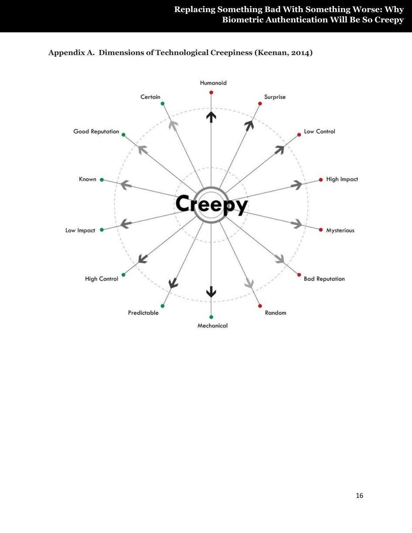

**Appendix A. Dimensions of Technological Creepiness (Keenan, 2014)**